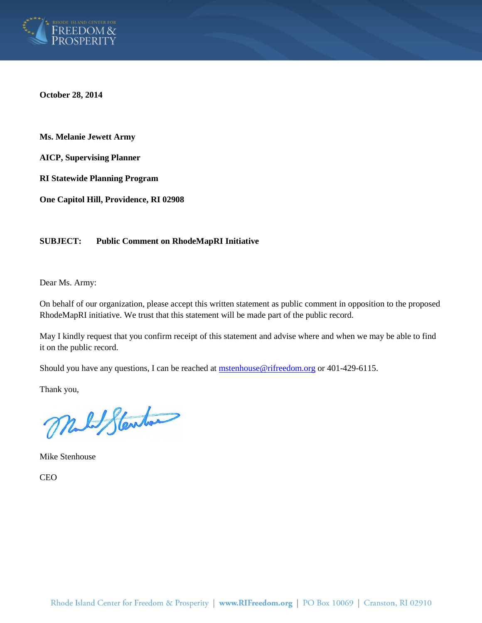

**October 28, 2014**

**Ms. Melanie Jewett Army**

**AICP, Supervising Planner**

**RI Statewide Planning Program**

**One Capitol Hill, Providence, RI 02908**

### **SUBJECT: Public Comment on RhodeMapRI Initiative**

Dear Ms. Army:

On behalf of our organization, please accept this written statement as public comment in opposition to the proposed RhodeMapRI initiative. We trust that this statement will be made part of the public record.

May I kindly request that you confirm receipt of this statement and advise where and when we may be able to find it on the public record.

Should you have any questions, I can be reached at **mstenhouse@rifreedom.org** or 401-429-6115.

Thank you,

Malt Stenton

Mike Stenhouse

CEO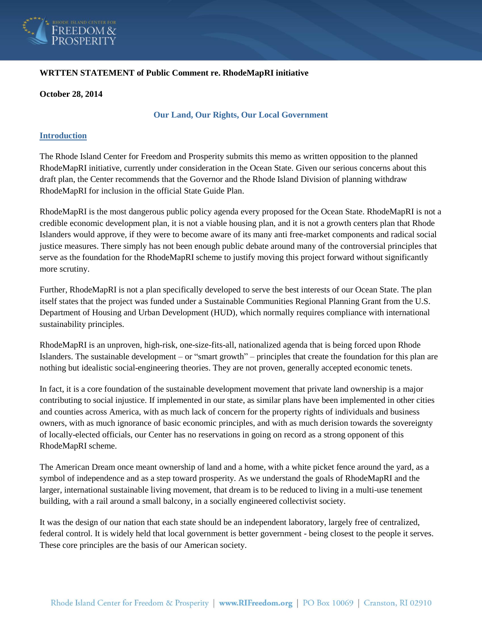

## **WRTTEN STATEMENT of Public Comment re. RhodeMapRI initiative**

#### **October 28, 2014**

### **Our Land, Our Rights, Our Local Government**

## **Introduction**

The Rhode Island Center for Freedom and Prosperity submits this memo as written opposition to the planned RhodeMapRI initiative, currently under consideration in the Ocean State. Given our serious concerns about this draft plan, the Center recommends that the Governor and the Rhode Island Division of planning withdraw RhodeMapRI for inclusion in the official State Guide Plan.

RhodeMapRI is the most dangerous public policy agenda every proposed for the Ocean State. RhodeMapRI is not a credible economic development plan, it is not a viable housing plan, and it is not a growth centers plan that Rhode Islanders would approve, if they were to become aware of its many anti free-market components and radical social justice measures. There simply has not been enough public debate around many of the controversial principles that serve as the foundation for the RhodeMapRI scheme to justify moving this project forward without significantly more scrutiny.

Further, RhodeMapRI is not a plan specifically developed to serve the best interests of our Ocean State. The plan itself states that the project was funded under a Sustainable Communities Regional Planning Grant from the U.S. Department of Housing and Urban Development (HUD), which normally requires compliance with international sustainability principles.

RhodeMapRI is an unproven, high-risk, one-size-fits-all, nationalized agenda that is being forced upon Rhode Islanders. The sustainable development – or "smart growth" – principles that create the foundation for this plan are nothing but idealistic social-engineering theories. They are not proven, generally accepted economic tenets.

In fact, it is a core foundation of the sustainable development movement that private land ownership is a major contributing to social injustice. If implemented in our state, as similar plans have been implemented in other cities and counties across America, with as much lack of concern for the property rights of individuals and business owners, with as much ignorance of basic economic principles, and with as much derision towards the sovereignty of locally-elected officials, our Center has no reservations in going on record as a strong opponent of this RhodeMapRI scheme.

The American Dream once meant ownership of land and a home, with a white picket fence around the yard, as a symbol of independence and as a step toward prosperity. As we understand the goals of RhodeMapRI and the larger, international sustainable living movement, that dream is to be reduced to living in a multi-use tenement building, with a rail around a small balcony, in a socially engineered collectivist society.

It was the design of our nation that each state should be an independent laboratory, largely free of centralized, federal control. It is widely held that local government is better government - being closest to the people it serves. These core principles are the basis of our American society.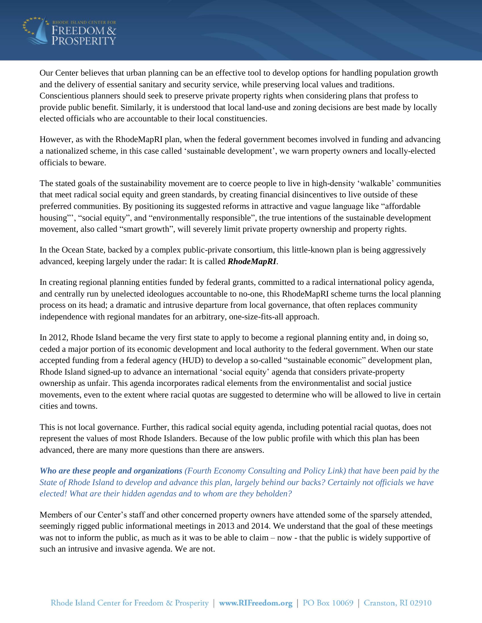

Our Center believes that urban planning can be an effective tool to develop options for handling population growth and the delivery of essential sanitary and security service, while preserving local values and traditions. Conscientious planners should seek to preserve private property rights when considering plans that profess to provide public benefit. Similarly, it is understood that local land-use and zoning decisions are best made by locally elected officials who are accountable to their local constituencies.

However, as with the RhodeMapRI plan, when the federal government becomes involved in funding and advancing a nationalized scheme, in this case called 'sustainable development', we warn property owners and locally-elected officials to beware.

The stated goals of the sustainability movement are to coerce people to live in high-density 'walkable' communities that meet radical social equity and green standards, by creating financial disincentives to live outside of these preferred communities. By positioning its suggested reforms in attractive and vague language like "affordable housing"', "social equity", and "environmentally responsible", the true intentions of the sustainable development movement, also called "smart growth", will severely limit private property ownership and property rights.

In the Ocean State, backed by a complex public-private consortium, this little-known plan is being aggressively advanced, keeping largely under the radar: It is called *RhodeMapRI*.

In creating regional planning entities funded by federal grants, committed to a radical international policy agenda, and centrally run by unelected ideologues accountable to no-one, this RhodeMapRI scheme turns the local planning process on its head; a dramatic and intrusive departure from local governance, that often replaces community independence with regional mandates for an arbitrary, one-size-fits-all approach.

In 2012, Rhode Island became the very first state to apply to become a regional planning entity and, in doing so, ceded a major portion of its economic development and local authority to the federal government. When our state accepted funding from a federal agency (HUD) to develop a so-called "sustainable economic" development plan, Rhode Island signed-up to advance an international 'social equity' agenda that considers private-property ownership as unfair. This agenda incorporates radical elements from the environmentalist and social justice movements, even to the extent where racial quotas are suggested to determine who will be allowed to live in certain cities and towns.

This is not local governance. Further, this radical social equity agenda, including potential racial quotas, does not represent the values of most Rhode Islanders. Because of the low public profile with which this plan has been advanced, there are many more questions than there are answers.

# *Who are these people and organizations (Fourth Economy Consulting and Policy Link) that have been paid by the State of Rhode Island to develop and advance this plan, largely behind our backs? Certainly not officials we have elected! What are their hidden agendas and to whom are they beholden?*

Members of our Center's staff and other concerned property owners have attended some of the sparsely attended, seemingly rigged public informational meetings in 2013 and 2014. We understand that the goal of these meetings was not to inform the public, as much as it was to be able to claim – now - that the public is widely supportive of such an intrusive and invasive agenda. We are not.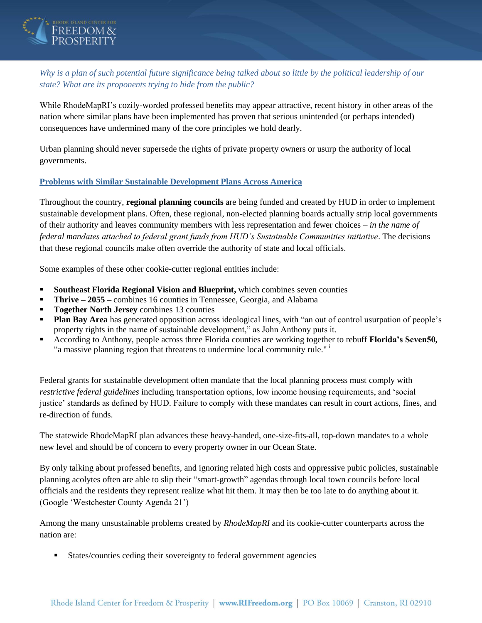

*Why is a plan of such potential future significance being talked about so little by the political leadership of our state? What are its proponents trying to hide from the public?*

While RhodeMapRI's cozily-worded professed benefits may appear attractive, recent history in other areas of the nation where similar plans have been implemented has proven that serious unintended (or perhaps intended) consequences have undermined many of the core principles we hold dearly.

Urban planning should never supersede the rights of private property owners or usurp the authority of local governments.

## **Problems with Similar Sustainable Development Plans Across America**

Throughout the country, **regional planning councils** are being funded and created by HUD in order to implement sustainable development plans. Often, these regional, non-elected planning boards actually strip local governments of their authority and leaves community members with less representation and fewer choices – *in the name of federal mandates attached to federal grant funds from HUD's Sustainable Communities initiative*. The decisions that these regional councils make often override the authority of state and local officials.

Some examples of these other cookie-cutter regional entities include:

- **Southeast Florida Regional Vision and Blueprint,** which combines seven counties
- **Thrive – 2055 –** combines 16 counties in Tennessee, Georgia, and Alabama
- **Together North Jersey** combines 13 counties
- **Plan Bay Area** has generated opposition across ideological lines, with "an out of control usurpation of people's property rights in the name of sustainable development," as John Anthony puts it.
- According to Anthony, people across three Florida counties are working together to rebuff **Florida's Seven50,** "a massive planning region that threatens to undermine local community rule."<sup>i</sup>

Federal grants for sustainable development often mandate that the local planning process must comply with *restrictive federal guidelines* including transportation options, low income housing requirements, and 'social justice' standards as defined by HUD. Failure to comply with these mandates can result in court actions, fines, and re-direction of funds.

The statewide RhodeMapRI plan advances these heavy-handed, one-size-fits-all, top-down mandates to a whole new level and should be of concern to every property owner in our Ocean State.

By only talking about professed benefits, and ignoring related high costs and oppressive pubic policies, sustainable planning acolytes often are able to slip their "smart-growth" agendas through local town councils before local officials and the residents they represent realize what hit them. It may then be too late to do anything about it. (Google 'Westchester County Agenda 21')

Among the many unsustainable problems created by *RhodeMapRI* and its cookie-cutter counterparts across the nation are:

States/counties ceding their sovereignty to federal government agencies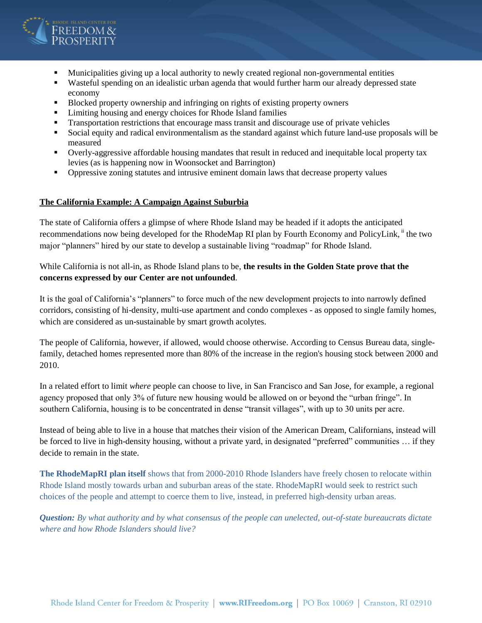

- **Municipalities giving up a local authority to newly created regional non-governmental entities**
- Wasteful spending on an idealistic urban agenda that would further harm our already depressed state economy
- Blocked property ownership and infringing on rights of existing property owners
- Limiting housing and energy choices for Rhode Island families
- Transportation restrictions that encourage mass transit and discourage use of private vehicles
- Social equity and radical environmentalism as the standard against which future land-use proposals will be measured
- Overly-aggressive affordable housing mandates that result in reduced and inequitable local property tax levies (as is happening now in Woonsocket and Barrington)
- Oppressive zoning statutes and intrusive eminent domain laws that decrease property values

#### **The California Example: A Campaign Against Suburbia**

The state of California offers a glimpse of where Rhode Island may be headed if it adopts the anticipated recommendations now being developed for the RhodeMap RI plan by Fourth Economy and PolicyLink, <sup>ii</sup> the two major "planners" hired by our state to develop a sustainable living "roadmap" for Rhode Island.

## While California is not all-in, as Rhode Island plans to be, **the results in the Golden State prove that the concerns expressed by our Center are not unfounded**.

It is the goal of California's "planners" to force much of the new development projects to into narrowly defined corridors, consisting of hi-density, multi-use apartment and condo complexes - as opposed to single family homes, which are considered as un-sustainable by smart growth acolytes.

The people of California, however, if allowed, would choose otherwise. According to Census Bureau data, singlefamily, detached homes represented more than 80% of the increase in the region's housing stock between 2000 and 2010.

In a related effort to limit *where* people can choose to live, in San Francisco and San Jose, for example, a regional agency proposed that only 3% of future new housing would be allowed on or beyond the "urban fringe". In southern California, housing is to be concentrated in dense "transit villages", with up to 30 units per acre.

Instead of being able to live in a house that matches their vision of the American Dream, Californians, instead will be forced to live in high-density housing, without a private yard, in designated "preferred" communities … if they decide to remain in the state.

**The RhodeMapRI plan itself** shows that from 2000-2010 Rhode Islanders have freely chosen to relocate within Rhode Island mostly towards urban and suburban areas of the state. RhodeMapRI would seek to restrict such choices of the people and attempt to coerce them to live, instead, in preferred high-density urban areas.

*Question: By what authority and by what consensus of the people can unelected, out-of-state bureaucrats dictate where and how Rhode Islanders should live?*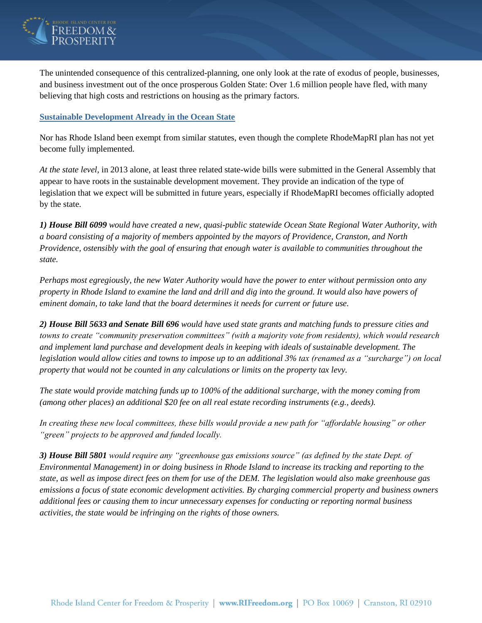

The unintended consequence of this centralized-planning, one only look at the rate of exodus of people, businesses, and business investment out of the once prosperous Golden State: Over 1.6 million people have fled, with many believing that high costs and restrictions on housing as the primary factors.

## **Sustainable Development Already in the Ocean State**

Nor has Rhode Island been exempt from similar statutes, even though the complete RhodeMapRI plan has not yet become fully implemented.

*At the state level,* in 2013 alone, at least three related state-wide bills were submitted in the General Assembly that appear to have roots in the sustainable development movement. They provide an indication of the type of legislation that we expect will be submitted in future years, especially if RhodeMapRI becomes officially adopted by the state.

*1) House Bill 6099 would have created a new, quasi-public statewide Ocean State Regional Water Authority, with a board consisting of a majority of members appointed by the mayors of Providence, Cranston, and North Providence, ostensibly with the goal of ensuring that enough water is available to communities throughout the state.*

*Perhaps most egregiously, the new Water Authority would have the power to enter without permission onto any property in Rhode Island to examine the land and drill and dig into the ground. It would also have powers of eminent domain, to take land that the board determines it needs for current or future use.*

*2) House Bill 5633 and Senate Bill 696 would have used state grants and matching funds to pressure cities and towns to create "community preservation committees" (with a majority vote from residents), which would research and implement land purchase and development deals in keeping with ideals of sustainable development. The legislation would allow cities and towns to impose up to an additional 3% tax (renamed as a "surcharge") on local property that would not be counted in any calculations or limits on the property tax levy.*

*The state would provide matching funds up to 100% of the additional surcharge, with the money coming from (among other places) an additional \$20 fee on all real estate recording instruments (e.g., deeds).*

*In creating these new local committees, these bills would provide a new path for "affordable housing" or other "green" projects to be approved and funded locally.*

*3) House Bill 5801 would require any "greenhouse gas emissions source" (as defined by the state Dept. of Environmental Management) in or doing business in Rhode Island to increase its tracking and reporting to the state, as well as impose direct fees on them for use of the DEM. The legislation would also make greenhouse gas emissions a focus of state economic development activities. By charging commercial property and business owners additional fees or causing them to incur unnecessary expenses for conducting or reporting normal business activities, the state would be infringing on the rights of those owners.*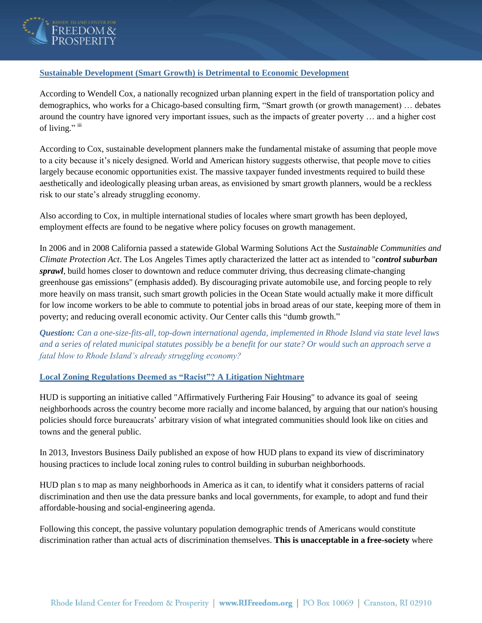

## **Sustainable Development (Smart Growth) is Detrimental to Economic Development**

According to Wendell Cox, a nationally recognized urban planning expert in the field of transportation policy and demographics, who works for a Chicago-based consulting firm, "Smart growth (or growth management) … debates around the country have ignored very important issues, such as the impacts of greater poverty … and a higher cost of living." iii

According to Cox, sustainable development planners make the fundamental mistake of assuming that people move to a city because it's nicely designed. World and American history suggests otherwise, that people move to cities largely because economic opportunities exist. The massive taxpayer funded investments required to build these aesthetically and ideologically pleasing urban areas, as envisioned by smart growth planners, would be a reckless risk to our state's already struggling economy.

Also according to Cox, in multiple international studies of locales where smart growth has been deployed, employment effects are found to be negative where policy focuses on growth management.

In 2006 and in 2008 California passed a statewide Global Warming Solutions Act the *Sustainable Communities and Climate Protection Act*. The Los Angeles Times aptly characterized the latter act as intended to "*control suburban sprawl*, build homes closer to downtown and reduce commuter driving, thus decreasing climate-changing greenhouse gas emissions" (emphasis added). By discouraging private automobile use, and forcing people to rely more heavily on mass transit, such smart growth policies in the Ocean State would actually make it more difficult for low income workers to be able to commute to potential jobs in broad areas of our state, keeping more of them in poverty; and reducing overall economic activity. Our Center calls this "dumb growth."

*Question: Can a one-size-fits-all, top-down international agenda, implemented in Rhode Island via state level laws and a series of related municipal statutes possibly be a benefit for our state? Or would such an approach serve a fatal blow to Rhode Island's already struggling economy?* 

### **Local Zoning Regulations Deemed as "Racist"? A Litigation Nightmare**

HUD is supporting an initiative called "Affirmatively Furthering Fair Housing" to advance its goal of seeing neighborhoods across the country become more racially and income balanced, by arguing that our nation's housing policies should force bureaucrats' arbitrary vision of what integrated communities should look like on cities and towns and the general public.

In 2013, Investors Business Daily published an expose of how HUD plans to expand its view of discriminatory housing practices to include local zoning rules to control building in suburban neighborhoods.

HUD plan s to map as many neighborhoods in America as it can, to identify what it considers patterns of racial discrimination and then use the data pressure banks and local governments, for example, to adopt and fund their affordable-housing and social-engineering agenda.

Following this concept, the passive voluntary population demographic trends of Americans would constitute discrimination rather than actual acts of discrimination themselves. **This is unacceptable in a free-society** where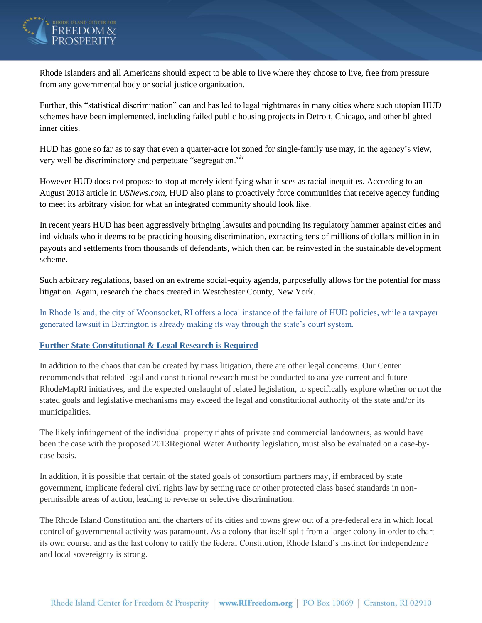

Rhode Islanders and all Americans should expect to be able to live where they choose to live, free from pressure from any governmental body or social justice organization.

Further, this "statistical discrimination" can and has led to legal nightmares in many cities where such utopian HUD schemes have been implemented, including failed public housing projects in Detroit, Chicago, and other blighted inner cities.

HUD has gone so far as to say that even a quarter-acre lot zoned for single-family use may, in the agency's view, very well be discriminatory and perpetuate "segregation."iv

However HUD does not propose to stop at merely identifying what it sees as racial inequities. According to an August 2013 article in *USNews.com*, HUD also plans to proactively force communities that receive agency funding to meet its arbitrary vision for what an integrated community should look like.

In recent years HUD has been aggressively bringing lawsuits and pounding its regulatory hammer against cities and individuals who it deems to be practicing housing discrimination, extracting tens of millions of dollars million in in payouts and settlements from thousands of defendants, which then can be reinvested in the sustainable development scheme.

Such arbitrary regulations, based on an extreme social-equity agenda, purposefully allows for the potential for mass litigation. Again, research the chaos created in Westchester County, New York.

In Rhode Island, the city of Woonsocket, RI offers a local instance of the failure of HUD policies, while a taxpayer generated lawsuit in Barrington is already making its way through the state's court system.

### **Further State Constitutional & Legal Research is Required**

In addition to the chaos that can be created by mass litigation, there are other legal concerns. Our Center recommends that related legal and constitutional research must be conducted to analyze current and future RhodeMapRI initiatives, and the expected onslaught of related legislation, to specifically explore whether or not the stated goals and legislative mechanisms may exceed the legal and constitutional authority of the state and/or its municipalities.

The likely infringement of the individual property rights of private and commercial landowners, as would have been the case with the proposed 2013Regional Water Authority legislation, must also be evaluated on a case-bycase basis.

In addition, it is possible that certain of the stated goals of consortium partners may, if embraced by state government, implicate federal civil rights law by setting race or other protected class based standards in nonpermissible areas of action, leading to reverse or selective discrimination.

The Rhode Island Constitution and the charters of its cities and towns grew out of a pre-federal era in which local control of governmental activity was paramount. As a colony that itself split from a larger colony in order to chart its own course, and as the last colony to ratify the federal Constitution, Rhode Island's instinct for independence and local sovereignty is strong.